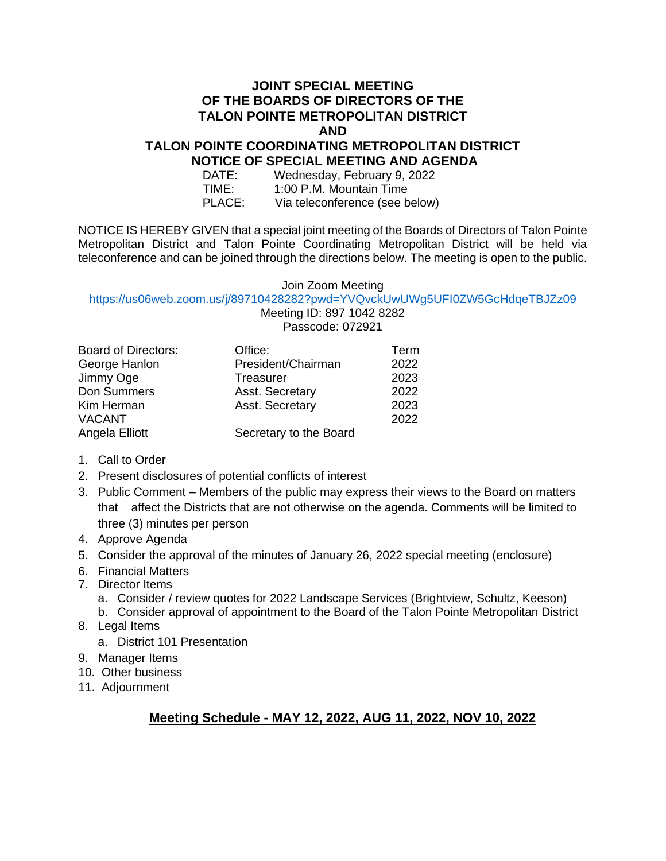### **JOINT SPECIAL MEETING OF THE BOARDS OF DIRECTORS OF THE TALON POINTE METROPOLITAN DISTRICT AND**

#### **TALON POINTE COORDINATING METROPOLITAN DISTRICT NOTICE OF SPECIAL MEETING AND AGENDA**

| DATE:  | Wednesday, February 9, 2022    |
|--------|--------------------------------|
| TIME:  | 1:00 P.M. Mountain Time        |
| PLACE: | Via teleconference (see below) |

NOTICE IS HEREBY GIVEN that a special joint meeting of the Boards of Directors of Talon Pointe Metropolitan District and Talon Pointe Coordinating Metropolitan District will be held via teleconference and can be joined through the directions below. The meeting is open to the public.

#### Join Zoom Meeting

#### <https://us06web.zoom.us/j/89710428282?pwd=YVQvckUwUWg5UFI0ZW5GcHdqeTBJZz09> Meeting ID: 897 1042 8282

|                            | Passcode: 072921       |             |  |
|----------------------------|------------------------|-------------|--|
| <b>Board of Directors:</b> | Office:                | <u>Term</u> |  |
| George Hanlon              | President/Chairman     | 2022        |  |
| Jimmy Oge                  | Treasurer              | 2023        |  |
| Don Summers                | Asst. Secretary        | 2022        |  |
| Kim Herman                 | Asst. Secretary        | 2023        |  |
| <b>VACANT</b>              |                        | 2022        |  |
| Angela Elliott             | Secretary to the Board |             |  |

- 1. Call to Order
- 2. Present disclosures of potential conflicts of interest
- 3. Public Comment Members of the public may express their views to the Board on matters that affect the Districts that are not otherwise on the agenda. Comments will be limited to three (3) minutes per person
- 4. Approve Agenda
- 5. Consider the approval of the minutes of January 26, 2022 special meeting (enclosure)
- 6. Financial Matters
- 7. Director Items
	- a. Consider / review quotes for 2022 Landscape Services (Brightview, Schultz, Keeson)
	- b. Consider approval of appointment to the Board of the Talon Pointe Metropolitan District
- 8. Legal Items
	- a. District 101 Presentation
- 9. Manager Items
- 10. Other business
- 11. Adjournment

## **Meeting Schedule - MAY 12, 2022, AUG 11, 2022, NOV 10, 2022**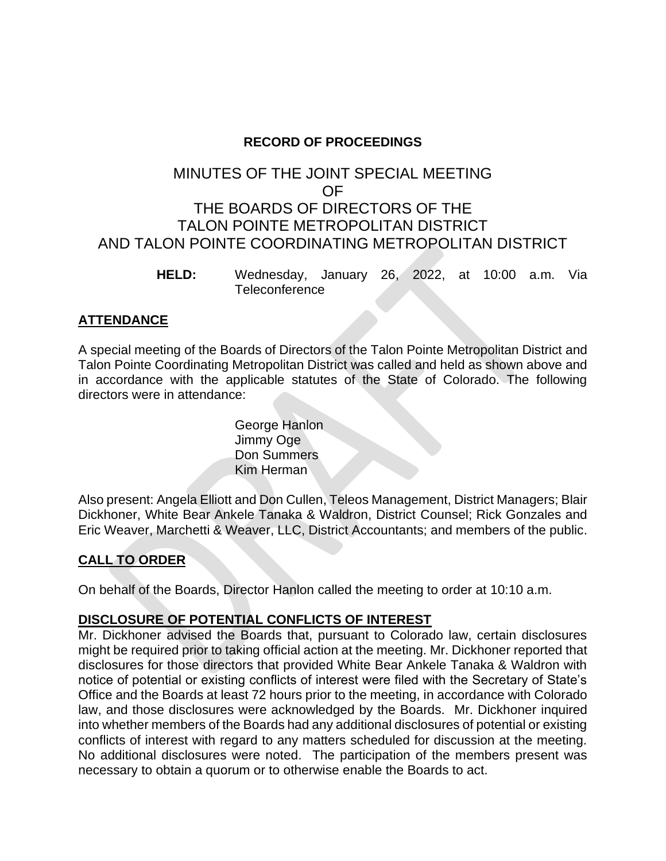## **RECORD OF PROCEEDINGS**

# MINUTES OF THE JOINT SPECIAL MEETING OF THE BOARDS OF DIRECTORS OF THE TALON POINTE METROPOLITAN DISTRICT AND TALON POINTE COORDINATING METROPOLITAN DISTRICT

**HELD:** Wednesday, January 26, 2022, at 10:00 a.m. Via **Teleconference** 

## **ATTENDANCE**

A special meeting of the Boards of Directors of the Talon Pointe Metropolitan District and Talon Pointe Coordinating Metropolitan District was called and held as shown above and in accordance with the applicable statutes of the State of Colorado. The following directors were in attendance:

> George Hanlon Jimmy Oge Don Summers Kim Herman

Also present: Angela Elliott and Don Cullen, Teleos Management, District Managers; Blair Dickhoner, White Bear Ankele Tanaka & Waldron, District Counsel; Rick Gonzales and Eric Weaver, Marchetti & Weaver, LLC, District Accountants; and members of the public.

## **CALL TO ORDER**

On behalf of the Boards, Director Hanlon called the meeting to order at 10:10 a.m.

## **DISCLOSURE OF POTENTIAL CONFLICTS OF INTEREST**

Mr. Dickhoner advised the Boards that, pursuant to Colorado law, certain disclosures might be required prior to taking official action at the meeting. Mr. Dickhoner reported that disclosures for those directors that provided White Bear Ankele Tanaka & Waldron with notice of potential or existing conflicts of interest were filed with the Secretary of State's Office and the Boards at least 72 hours prior to the meeting, in accordance with Colorado law, and those disclosures were acknowledged by the Boards. Mr. Dickhoner inquired into whether members of the Boards had any additional disclosures of potential or existing conflicts of interest with regard to any matters scheduled for discussion at the meeting. No additional disclosures were noted. The participation of the members present was necessary to obtain a quorum or to otherwise enable the Boards to act.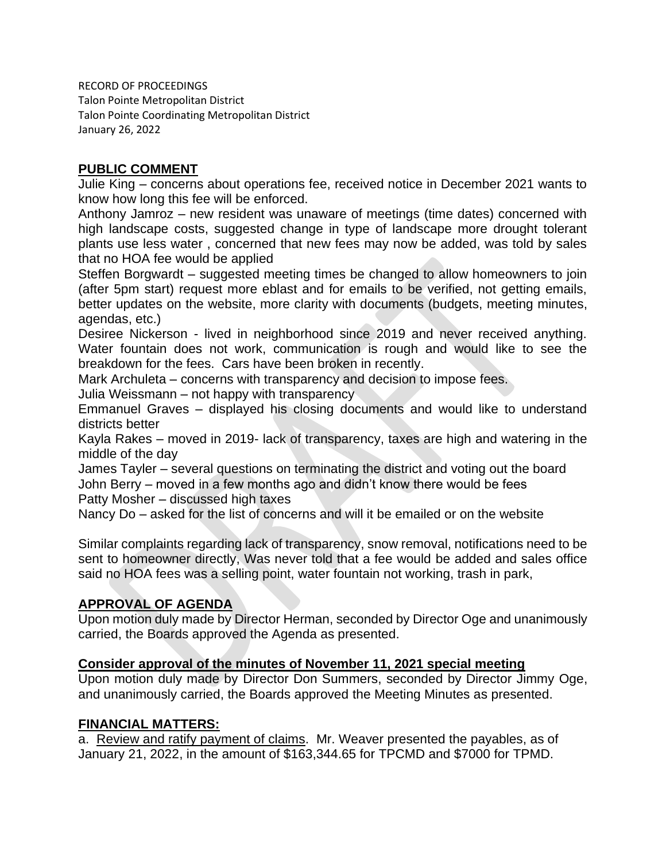RECORD OF PROCEEDINGS Talon Pointe Metropolitan District Talon Pointe Coordinating Metropolitan District January 26, 2022

### **PUBLIC COMMENT**

Julie King – concerns about operations fee, received notice in December 2021 wants to know how long this fee will be enforced.

Anthony Jamroz – new resident was unaware of meetings (time dates) concerned with high landscape costs, suggested change in type of landscape more drought tolerant plants use less water , concerned that new fees may now be added, was told by sales that no HOA fee would be applied

Steffen Borgwardt – suggested meeting times be changed to allow homeowners to join (after 5pm start) request more eblast and for emails to be verified, not getting emails, better updates on the website, more clarity with documents (budgets, meeting minutes, agendas, etc.)

Desiree Nickerson - lived in neighborhood since 2019 and never received anything. Water fountain does not work, communication is rough and would like to see the breakdown for the fees. Cars have been broken in recently.

Mark Archuleta – concerns with transparency and decision to impose fees.

Julia Weissmann – not happy with transparency

Emmanuel Graves – displayed his closing documents and would like to understand districts better

Kayla Rakes – moved in 2019- lack of transparency, taxes are high and watering in the middle of the day

James Tayler – several questions on terminating the district and voting out the board John Berry – moved in a few months ago and didn't know there would be fees

Patty Mosher – discussed high taxes

Nancy Do – asked for the list of concerns and will it be emailed or on the website

Similar complaints regarding lack of transparency, snow removal, notifications need to be sent to homeowner directly, Was never told that a fee would be added and sales office said no HOA fees was a selling point, water fountain not working, trash in park,

### **APPROVAL OF AGENDA**

Upon motion duly made by Director Herman, seconded by Director Oge and unanimously carried, the Boards approved the Agenda as presented.

### **Consider approval of the minutes of November 11, 2021 special meeting**

Upon motion duly made by Director Don Summers, seconded by Director Jimmy Oge, and unanimously carried, the Boards approved the Meeting Minutes as presented.

#### **FINANCIAL MATTERS:**

a. Review and ratify payment of claims. Mr. Weaver presented the payables, as of January 21, 2022, in the amount of \$163,344.65 for TPCMD and \$7000 for TPMD.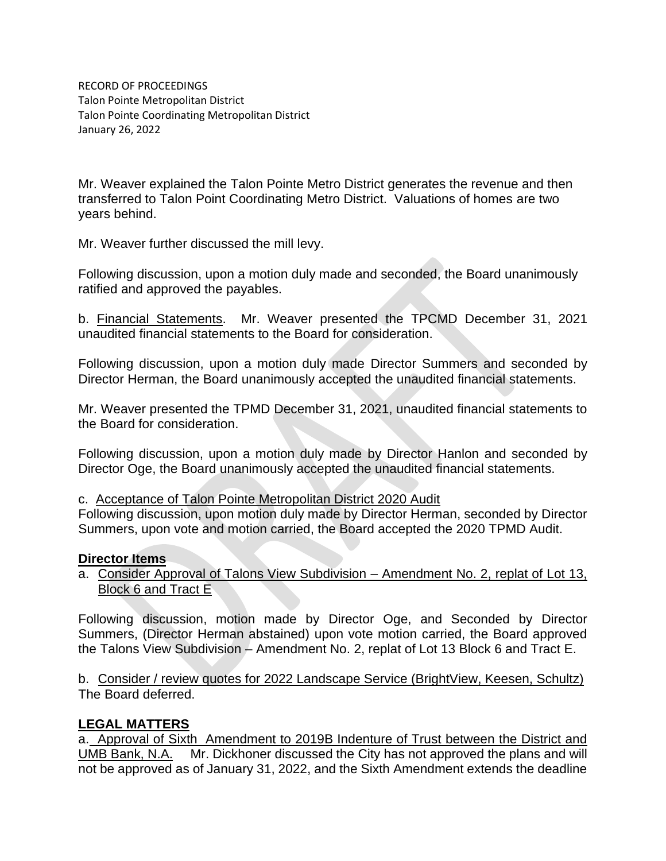RECORD OF PROCEEDINGS Talon Pointe Metropolitan District Talon Pointe Coordinating Metropolitan District January 26, 2022

Mr. Weaver explained the Talon Pointe Metro District generates the revenue and then transferred to Talon Point Coordinating Metro District. Valuations of homes are two years behind.

Mr. Weaver further discussed the mill levy.

Following discussion, upon a motion duly made and seconded, the Board unanimously ratified and approved the payables.

b. Financial Statements. Mr. Weaver presented the TPCMD December 31, 2021 unaudited financial statements to the Board for consideration.

Following discussion, upon a motion duly made Director Summers and seconded by Director Herman, the Board unanimously accepted the unaudited financial statements.

Mr. Weaver presented the TPMD December 31, 2021, unaudited financial statements to the Board for consideration.

Following discussion, upon a motion duly made by Director Hanlon and seconded by Director Oge, the Board unanimously accepted the unaudited financial statements.

c. Acceptance of Talon Pointe Metropolitan District 2020 Audit

Following discussion, upon motion duly made by Director Herman, seconded by Director Summers, upon vote and motion carried, the Board accepted the 2020 TPMD Audit.

#### **Director Items**

a. Consider Approval of Talons View Subdivision – Amendment No. 2, replat of Lot 13, Block 6 and Tract E

Following discussion, motion made by Director Oge, and Seconded by Director Summers, (Director Herman abstained) upon vote motion carried, the Board approved the Talons View Subdivision – Amendment No. 2, replat of Lot 13 Block 6 and Tract E.

b. Consider / review quotes for 2022 Landscape Service (BrightView, Keesen, Schultz) The Board deferred.

### **LEGAL MATTERS**

a. Approval of Sixth Amendment to 2019B Indenture of Trust between the District and UMB Bank, N.A. Mr. Dickhoner discussed the City has not approved the plans and will not be approved as of January 31, 2022, and the Sixth Amendment extends the deadline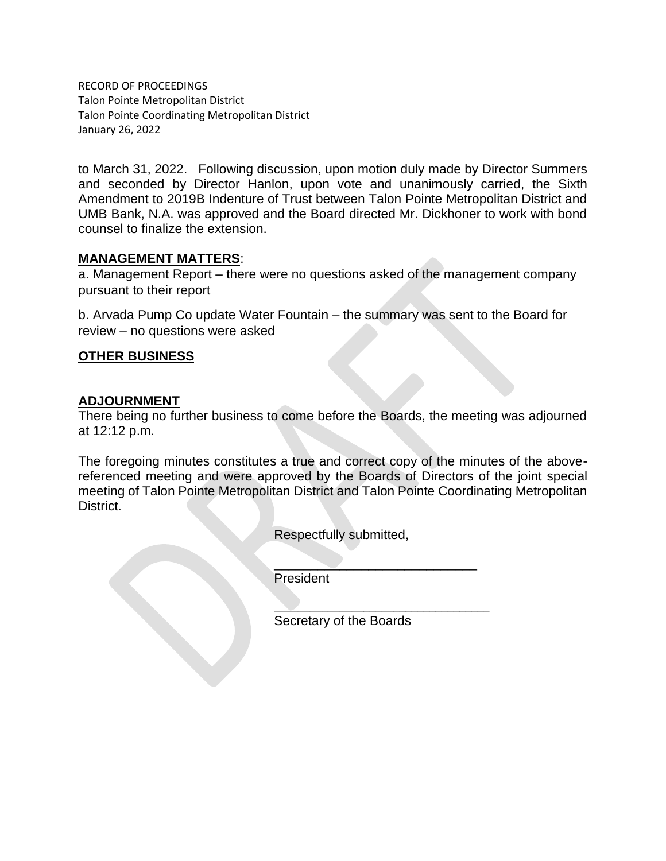RECORD OF PROCEEDINGS Talon Pointe Metropolitan District Talon Pointe Coordinating Metropolitan District January 26, 2022

to March 31, 2022. Following discussion, upon motion duly made by Director Summers and seconded by Director Hanlon, upon vote and unanimously carried, the Sixth Amendment to 2019B Indenture of Trust between Talon Pointe Metropolitan District and UMB Bank, N.A. was approved and the Board directed Mr. Dickhoner to work with bond counsel to finalize the extension.

#### **MANAGEMENT MATTERS**:

a. Management Report – there were no questions asked of the management company pursuant to their report

b. Arvada Pump Co update Water Fountain – the summary was sent to the Board for review – no questions were asked

### **OTHER BUSINESS**

### **ADJOURNMENT**

There being no further business to come before the Boards, the meeting was adjourned at 12:12 p.m.

The foregoing minutes constitutes a true and correct copy of the minutes of the abovereferenced meeting and were approved by the Boards of Directors of the joint special meeting of Talon Pointe Metropolitan District and Talon Pointe Coordinating Metropolitan District.

Respectfully submitted,

 $\overline{\phantom{a}}$  , where  $\overline{\phantom{a}}$  , where  $\overline{\phantom{a}}$  , where  $\overline{\phantom{a}}$ President

\_\_\_\_\_\_\_\_\_\_\_\_\_\_\_\_\_\_\_\_\_\_\_\_\_\_\_\_\_\_\_\_\_\_\_\_ Secretary of the Boards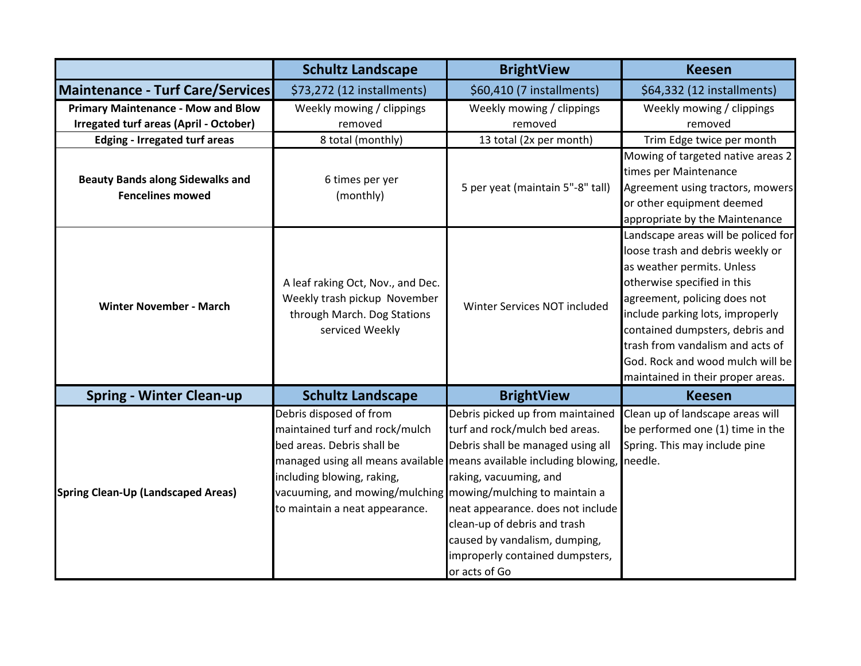|                                                                    | <b>Schultz Landscape</b>                                                                                                                                                                                                | <b>BrightView</b>                                                                                                                                                                                                                                                                                                                                                   | <b>Keesen</b>                                                                                                                                                                                                                                                                                                                                            |
|--------------------------------------------------------------------|-------------------------------------------------------------------------------------------------------------------------------------------------------------------------------------------------------------------------|---------------------------------------------------------------------------------------------------------------------------------------------------------------------------------------------------------------------------------------------------------------------------------------------------------------------------------------------------------------------|----------------------------------------------------------------------------------------------------------------------------------------------------------------------------------------------------------------------------------------------------------------------------------------------------------------------------------------------------------|
| Maintenance - Turf Care/Services                                   | \$73,272 (12 installments)                                                                                                                                                                                              | \$60,410 (7 installments)                                                                                                                                                                                                                                                                                                                                           | \$64,332 (12 installments)                                                                                                                                                                                                                                                                                                                               |
| <b>Primary Maintenance - Mow and Blow</b>                          | Weekly mowing / clippings                                                                                                                                                                                               | Weekly mowing / clippings                                                                                                                                                                                                                                                                                                                                           | Weekly mowing / clippings                                                                                                                                                                                                                                                                                                                                |
| <b>Irregated turf areas (April - October)</b>                      | removed                                                                                                                                                                                                                 | removed                                                                                                                                                                                                                                                                                                                                                             | removed                                                                                                                                                                                                                                                                                                                                                  |
| <b>Edging - Irregated turf areas</b>                               | 8 total (monthly)                                                                                                                                                                                                       | 13 total (2x per month)                                                                                                                                                                                                                                                                                                                                             | Trim Edge twice per month                                                                                                                                                                                                                                                                                                                                |
| <b>Beauty Bands along Sidewalks and</b><br><b>Fencelines mowed</b> | 6 times per yer<br>(monthly)                                                                                                                                                                                            | 5 per yeat (maintain 5"-8" tall)                                                                                                                                                                                                                                                                                                                                    | Mowing of targeted native areas 2<br>times per Maintenance<br>Agreement using tractors, mowers<br>or other equipment deemed<br>appropriate by the Maintenance                                                                                                                                                                                            |
| <b>Winter November - March</b>                                     | A leaf raking Oct, Nov., and Dec.<br>Weekly trash pickup November<br>through March. Dog Stations<br>serviced Weekly                                                                                                     | Winter Services NOT included                                                                                                                                                                                                                                                                                                                                        | Landscape areas will be policed for<br>loose trash and debris weekly or<br>as weather permits. Unless<br>otherwise specified in this<br>agreement, policing does not<br>include parking lots, improperly<br>contained dumpsters, debris and<br>trash from vandalism and acts of<br>God. Rock and wood mulch will be<br>maintained in their proper areas. |
| <b>Spring - Winter Clean-up</b>                                    | <b>Schultz Landscape</b>                                                                                                                                                                                                | <b>BrightView</b>                                                                                                                                                                                                                                                                                                                                                   | <b>Keesen</b>                                                                                                                                                                                                                                                                                                                                            |
| Spring Clean-Up (Landscaped Areas)                                 | Debris disposed of from<br>maintained turf and rock/mulch<br>bed areas. Debris shall be<br>including blowing, raking,<br>vacuuming, and mowing/mulching mowing/mulching to maintain a<br>to maintain a neat appearance. | Debris picked up from maintained<br>turf and rock/mulch bed areas.<br>Debris shall be managed using all<br>managed using all means available means available including blowing,<br>raking, vacuuming, and<br>neat appearance. does not include<br>clean-up of debris and trash<br>caused by vandalism, dumping,<br>improperly contained dumpsters,<br>or acts of Go | Clean up of landscape areas will<br>be performed one (1) time in the<br>Spring. This may include pine<br>needle.                                                                                                                                                                                                                                         |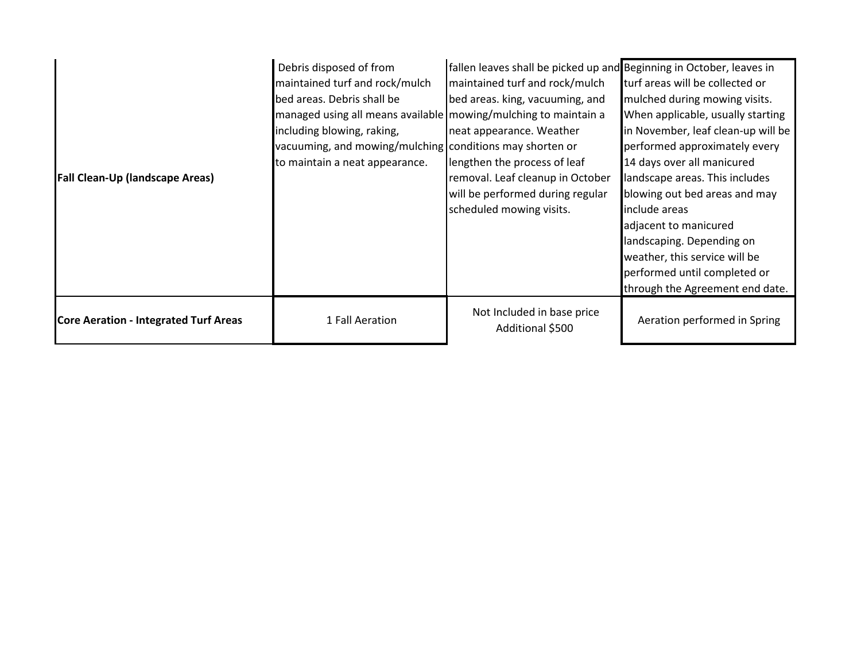| Fall Clean-Up (landscape Areas)              | Debris disposed of from<br>maintained turf and rock/mulch<br>bed areas. Debris shall be<br>managed using all means available   mowing/mulching to maintain a<br>including blowing, raking,<br>vacuuming, and mowing/mulching conditions may shorten or<br>to maintain a neat appearance. | fallen leaves shall be picked up and Beginning in October, leaves in<br>maintained turf and rock/mulch<br>bed areas. king, vacuuming, and<br>neat appearance. Weather<br>lengthen the process of leaf<br>removal. Leaf cleanup in October<br>will be performed during regular<br>scheduled mowing visits. | turf areas will be collected or<br>mulched during mowing visits.<br>When applicable, usually starting<br>in November, leaf clean-up will be<br>performed approximately every<br>14 days over all manicured<br>landscape areas. This includes<br>blowing out bed areas and may<br>include areas<br>adjacent to manicured<br>landscaping. Depending on<br>weather, this service will be |
|----------------------------------------------|------------------------------------------------------------------------------------------------------------------------------------------------------------------------------------------------------------------------------------------------------------------------------------------|-----------------------------------------------------------------------------------------------------------------------------------------------------------------------------------------------------------------------------------------------------------------------------------------------------------|---------------------------------------------------------------------------------------------------------------------------------------------------------------------------------------------------------------------------------------------------------------------------------------------------------------------------------------------------------------------------------------|
|                                              |                                                                                                                                                                                                                                                                                          |                                                                                                                                                                                                                                                                                                           | performed until completed or<br>through the Agreement end date.                                                                                                                                                                                                                                                                                                                       |
| <b>Core Aeration - Integrated Turf Areas</b> | 1 Fall Aeration                                                                                                                                                                                                                                                                          | Not Included in base price<br>Additional \$500                                                                                                                                                                                                                                                            | Aeration performed in Spring                                                                                                                                                                                                                                                                                                                                                          |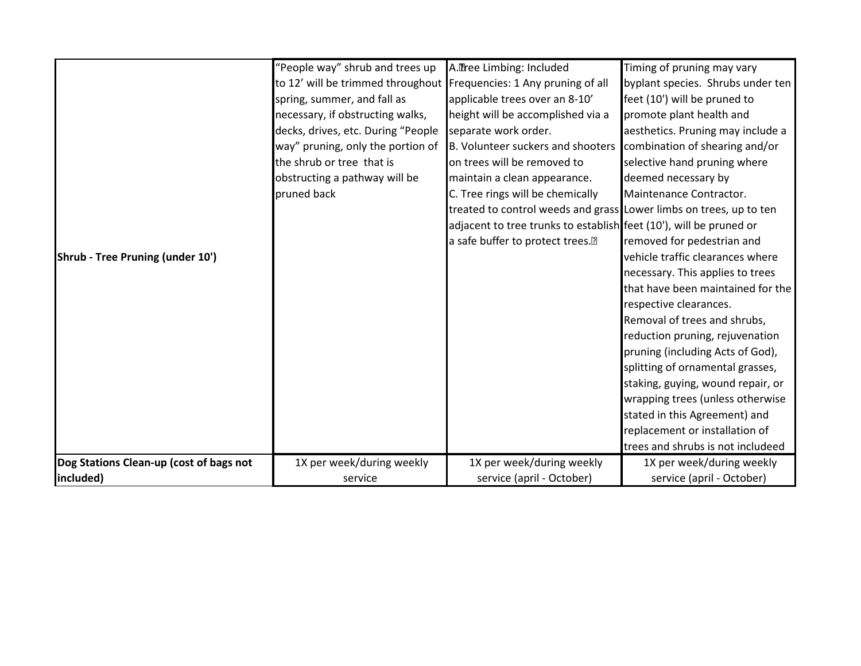|                                         | "People way" shrub and trees up    | A.Tree Limbing: Included                                           | Timing of pruning may vary        |
|-----------------------------------------|------------------------------------|--------------------------------------------------------------------|-----------------------------------|
|                                         | to 12' will be trimmed throughout  | Frequencies: 1 Any pruning of all                                  | byplant species. Shrubs under ten |
|                                         | spring, summer, and fall as        | applicable trees over an 8-10'                                     | feet (10') will be pruned to      |
|                                         | necessary, if obstructing walks,   | height will be accomplished via a                                  | promote plant health and          |
|                                         | decks, drives, etc. During "People | separate work order.                                               | aesthetics. Pruning may include a |
|                                         | way" pruning, only the portion of  | B. Volunteer suckers and shooters                                  | combination of shearing and/or    |
|                                         | the shrub or tree that is          | on trees will be removed to                                        | selective hand pruning where      |
|                                         | obstructing a pathway will be      | maintain a clean appearance.                                       | deemed necessary by               |
|                                         | pruned back                        | C. Tree rings will be chemically                                   | Maintenance Contractor.           |
|                                         |                                    | treated to control weeds and grass Lower limbs on trees, up to ten |                                   |
|                                         |                                    | adjacent to tree trunks to establish feet (10'), will be pruned or |                                   |
|                                         |                                    | a safe buffer to protect trees. <sup>[2]</sup>                     | removed for pedestrian and        |
| Shrub - Tree Pruning (under 10')        |                                    |                                                                    | vehicle traffic clearances where  |
|                                         |                                    |                                                                    | necessary. This applies to trees  |
|                                         |                                    |                                                                    | that have been maintained for the |
|                                         |                                    |                                                                    | respective clearances.            |
|                                         |                                    |                                                                    | Removal of trees and shrubs,      |
|                                         |                                    |                                                                    | reduction pruning, rejuvenation   |
|                                         |                                    |                                                                    | pruning (including Acts of God),  |
|                                         |                                    |                                                                    | splitting of ornamental grasses,  |
|                                         |                                    |                                                                    | staking, guying, wound repair, or |
|                                         |                                    |                                                                    | wrapping trees (unless otherwise  |
|                                         |                                    |                                                                    | stated in this Agreement) and     |
|                                         |                                    |                                                                    | replacement or installation of    |
|                                         |                                    |                                                                    | trees and shrubs is not includeed |
| Dog Stations Clean-up (cost of bags not | 1X per week/during weekly          | 1X per week/during weekly                                          | 1X per week/during weekly         |
| included)                               | service                            | service (april - October)                                          | service (april - October)         |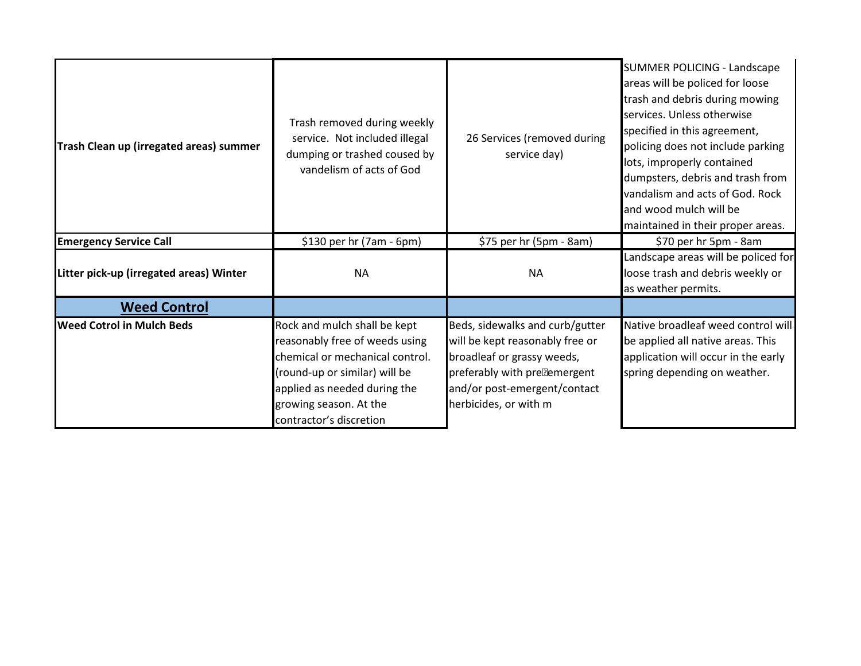| Trash Clean up (irregated areas) summer | Trash removed during weekly<br>service. Not included illegal<br>dumping or trashed coused by<br>vandelism of acts of God                                                                                                | 26 Services (removed during<br>service day)                                                                                                                                                            | <b>SUMMER POLICING - Landscape</b><br>areas will be policed for loose<br>trash and debris during mowing<br>services. Unless otherwise<br>specified in this agreement,<br>policing does not include parking<br>lots, improperly contained<br>dumpsters, debris and trash from<br>vandalism and acts of God. Rock<br>and wood mulch will be<br>maintained in their proper areas. |
|-----------------------------------------|-------------------------------------------------------------------------------------------------------------------------------------------------------------------------------------------------------------------------|--------------------------------------------------------------------------------------------------------------------------------------------------------------------------------------------------------|--------------------------------------------------------------------------------------------------------------------------------------------------------------------------------------------------------------------------------------------------------------------------------------------------------------------------------------------------------------------------------|
| <b>Emergency Service Call</b>           | \$130 per hr (7am - 6pm)                                                                                                                                                                                                | \$75 per hr (5pm - 8am)                                                                                                                                                                                | \$70 per hr 5pm - 8am                                                                                                                                                                                                                                                                                                                                                          |
| Litter pick-up (irregated areas) Winter | <b>NA</b>                                                                                                                                                                                                               | <b>NA</b>                                                                                                                                                                                              | Landscape areas will be policed for<br>loose trash and debris weekly or<br>as weather permits.                                                                                                                                                                                                                                                                                 |
| <b>Weed Control</b>                     |                                                                                                                                                                                                                         |                                                                                                                                                                                                        |                                                                                                                                                                                                                                                                                                                                                                                |
| <b>Weed Cotrol in Mulch Beds</b>        | Rock and mulch shall be kept<br>reasonably free of weeds using<br>chemical or mechanical control.<br>(round-up or similar) will be<br>applied as needed during the<br>growing season. At the<br>contractor's discretion | Beds, sidewalks and curb/gutter<br>will be kept reasonably free or<br>broadleaf or grassy weeds,<br>preferably with pre <sup>p</sup> emergent<br>and/or post-emergent/contact<br>herbicides, or with m | Native broadleaf weed control will<br>be applied all native areas. This<br>application will occur in the early<br>spring depending on weather.                                                                                                                                                                                                                                 |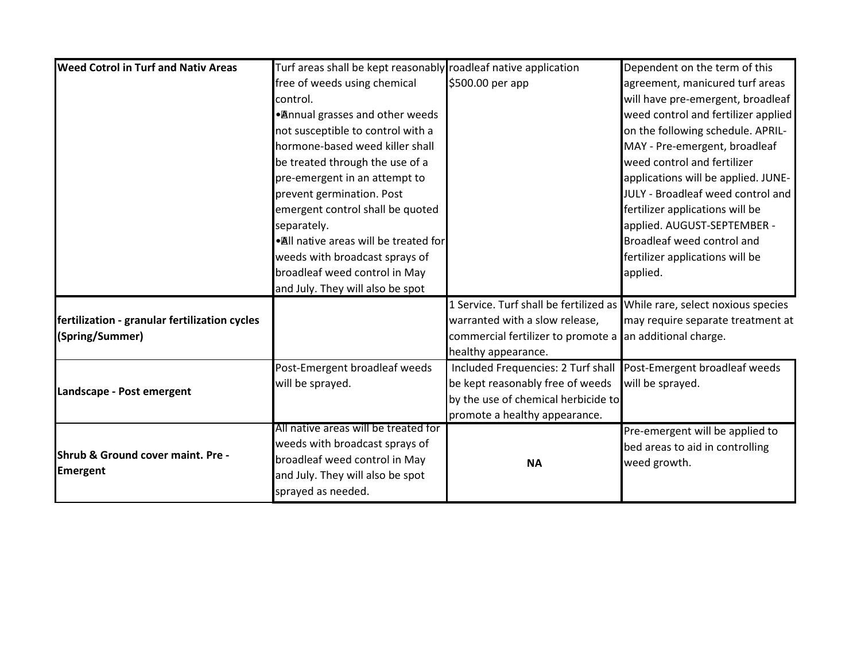| <b>Weed Cotrol in Turf and Nativ Areas</b>    | Turf areas shall be kept reasonably roadleaf native application |                                                                           | Dependent on the term of this       |
|-----------------------------------------------|-----------------------------------------------------------------|---------------------------------------------------------------------------|-------------------------------------|
|                                               | free of weeds using chemical                                    | \$500.00 per app                                                          | agreement, manicured turf areas     |
|                                               | control.                                                        |                                                                           | will have pre-emergent, broadleaf   |
|                                               | • Annual grasses and other weeds                                |                                                                           | weed control and fertilizer applied |
|                                               | not susceptible to control with a                               |                                                                           | on the following schedule. APRIL-   |
|                                               | hormone-based weed killer shall                                 |                                                                           | MAY - Pre-emergent, broadleaf       |
|                                               | be treated through the use of a                                 |                                                                           | weed control and fertilizer         |
|                                               | pre-emergent in an attempt to                                   |                                                                           | applications will be applied. JUNE- |
|                                               | prevent germination. Post                                       |                                                                           | JULY - Broadleaf weed control and   |
|                                               | emergent control shall be quoted                                |                                                                           | fertilizer applications will be     |
|                                               | separately.                                                     |                                                                           | applied. AUGUST-SEPTEMBER -         |
|                                               | • All native areas will be treated for                          |                                                                           | Broadleaf weed control and          |
|                                               | weeds with broadcast sprays of                                  |                                                                           | fertilizer applications will be     |
|                                               | broadleaf weed control in May                                   |                                                                           | applied.                            |
|                                               | and July. They will also be spot                                |                                                                           |                                     |
|                                               |                                                                 | 1 Service. Turf shall be fertilized as While rare, select noxious species |                                     |
| fertilization - granular fertilization cycles |                                                                 | warranted with a slow release,                                            | may require separate treatment at   |
| (Spring/Summer)                               |                                                                 | commercial fertilizer to promote a an additional charge.                  |                                     |
|                                               |                                                                 | healthy appearance.                                                       |                                     |
|                                               | Post-Emergent broadleaf weeds                                   | Included Frequencies: 2 Turf shall                                        | Post-Emergent broadleaf weeds       |
| Landscape - Post emergent                     | will be sprayed.                                                | be kept reasonably free of weeds                                          | will be sprayed.                    |
|                                               |                                                                 | by the use of chemical herbicide to                                       |                                     |
|                                               |                                                                 | promote a healthy appearance.                                             |                                     |
|                                               | All native areas will be treated for                            |                                                                           | Pre-emergent will be applied to     |
| Shrub & Ground cover maint. Pre -             | weeds with broadcast sprays of                                  |                                                                           | bed areas to aid in controlling     |
|                                               | broadleaf weed control in May                                   | <b>NA</b>                                                                 | weed growth.                        |
| <b>Emergent</b>                               | and July. They will also be spot                                |                                                                           |                                     |
|                                               | sprayed as needed.                                              |                                                                           |                                     |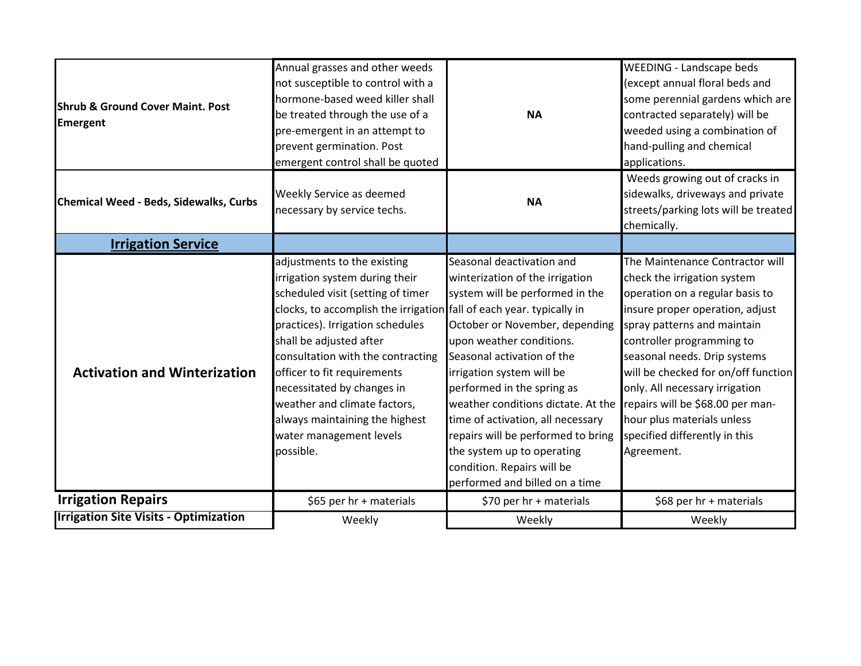|                                              | Annual grasses and other weeds                                       |                                    | <b>WEEDING - Landscape beds</b>      |
|----------------------------------------------|----------------------------------------------------------------------|------------------------------------|--------------------------------------|
|                                              | not susceptible to control with a                                    |                                    | (except annual floral beds and       |
| <b>Shrub &amp; Ground Cover Maint. Post</b>  | hormone-based weed killer shall                                      |                                    | some perennial gardens which are     |
| <b>Emergent</b>                              | be treated through the use of a                                      | <b>NA</b>                          | contracted separately) will be       |
|                                              | pre-emergent in an attempt to                                        |                                    | weeded using a combination of        |
|                                              | prevent germination. Post                                            |                                    | hand-pulling and chemical            |
|                                              | emergent control shall be quoted                                     |                                    | applications.                        |
|                                              |                                                                      |                                    | Weeds growing out of cracks in       |
| Chemical Weed - Beds, Sidewalks, Curbs       | Weekly Service as deemed                                             | <b>NA</b>                          | sidewalks, driveways and private     |
|                                              | necessary by service techs.                                          |                                    | streets/parking lots will be treated |
|                                              |                                                                      |                                    | chemically.                          |
| <b>Irrigation Service</b>                    |                                                                      |                                    |                                      |
|                                              | adjustments to the existing                                          | Seasonal deactivation and          | The Maintenance Contractor will      |
|                                              | irrigation system during their                                       | winterization of the irrigation    | check the irrigation system          |
|                                              | scheduled visit (setting of timer                                    | system will be performed in the    | operation on a regular basis to      |
|                                              | clocks, to accomplish the irrigation fall of each year. typically in |                                    | insure proper operation, adjust      |
|                                              | practices). Irrigation schedules                                     | October or November, depending     | spray patterns and maintain          |
|                                              | shall be adjusted after                                              | upon weather conditions.           | controller programming to            |
|                                              | consultation with the contracting                                    | Seasonal activation of the         | seasonal needs. Drip systems         |
| <b>Activation and Winterization</b>          | officer to fit requirements                                          | irrigation system will be          | will be checked for on/off function  |
|                                              | necessitated by changes in                                           | performed in the spring as         | only. All necessary irrigation       |
|                                              | weather and climate factors,                                         | weather conditions dictate. At the | repairs will be \$68.00 per man-     |
|                                              | always maintaining the highest                                       | time of activation, all necessary  | hour plus materials unless           |
|                                              | water management levels                                              | repairs will be performed to bring | specified differently in this        |
|                                              | possible.                                                            | the system up to operating         | Agreement.                           |
|                                              |                                                                      | condition. Repairs will be         |                                      |
|                                              |                                                                      | performed and billed on a time     |                                      |
| <b>Irrigation Repairs</b>                    | \$65 per hr + materials                                              | \$70 per hr + materials            | \$68 per hr + materials              |
| <b>Irrigation Site Visits - Optimization</b> | Weekly                                                               | Weekly                             | Weekly                               |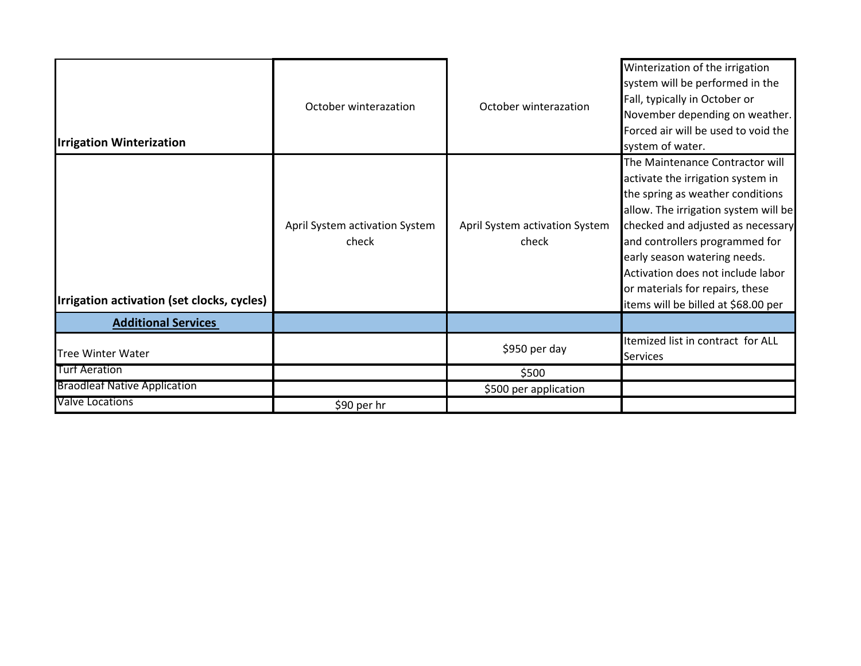| <b>Irrigation Winterization</b>            | October winterazation                   | October winterazation                   | Winterization of the irrigation<br>system will be performed in the<br>Fall, typically in October or<br>November depending on weather.<br>Forced air will be used to void the<br>system of water.                                                                                                                                                                       |
|--------------------------------------------|-----------------------------------------|-----------------------------------------|------------------------------------------------------------------------------------------------------------------------------------------------------------------------------------------------------------------------------------------------------------------------------------------------------------------------------------------------------------------------|
| Irrigation activation (set clocks, cycles) | April System activation System<br>check | April System activation System<br>check | The Maintenance Contractor will<br>activate the irrigation system in<br>the spring as weather conditions<br>allow. The irrigation system will be<br>checked and adjusted as necessary<br>and controllers programmed for<br>early season watering needs.<br>Activation does not include labor<br>or materials for repairs, these<br>items will be billed at \$68.00 per |
| <b>Additional Services</b>                 |                                         |                                         |                                                                                                                                                                                                                                                                                                                                                                        |
| <b>Tree Winter Water</b>                   |                                         | \$950 per day                           | Itemized list in contract for ALL<br><b>Services</b>                                                                                                                                                                                                                                                                                                                   |
| <b>Turf Aeration</b>                       |                                         | \$500                                   |                                                                                                                                                                                                                                                                                                                                                                        |
| <b>Braodleaf Native Application</b>        |                                         | \$500 per application                   |                                                                                                                                                                                                                                                                                                                                                                        |
| <b>Valve Locations</b>                     | \$90 per hr                             |                                         |                                                                                                                                                                                                                                                                                                                                                                        |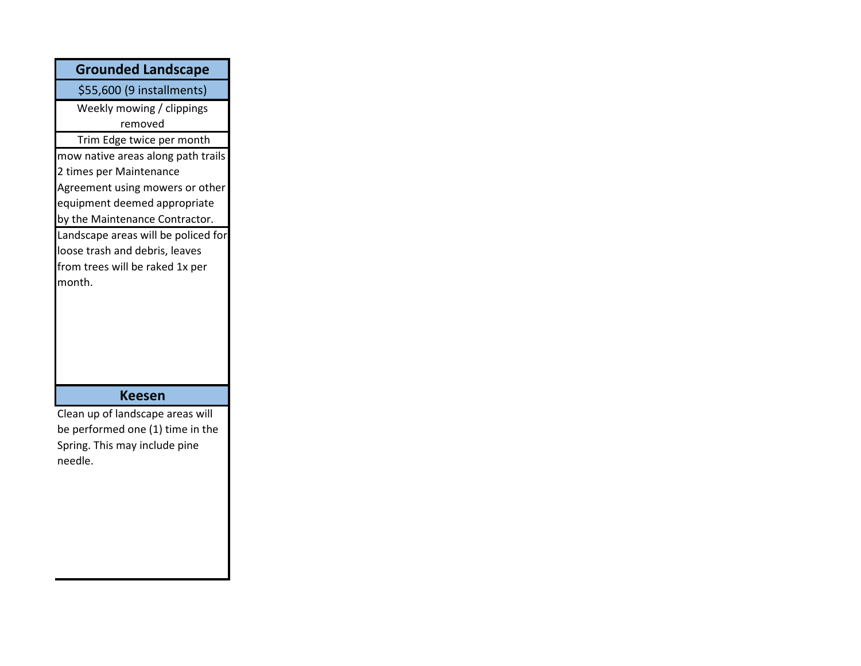| <b>Grounded Landscape</b>           |
|-------------------------------------|
| \$55,600 (9 installments)           |
| Weekly mowing / clippings           |
| removed                             |
| Trim Edge twice per month           |
| mow native areas along path trails  |
| 2 times per Maintenance             |
| Agreement using mowers or other     |
| equipment deemed appropriate        |
| by the Maintenance Contractor.      |
| Landscape areas will be policed for |
| loose trash and debris, leaves      |
| from trees will be raked 1x per     |
| month.                              |
|                                     |
|                                     |
|                                     |
|                                     |
|                                     |
|                                     |
| <b>Keesen</b>                       |
| Clean up of landscape areas will    |
| be performed one (1) time in the    |
| Spring. This may include pine       |

٦

needle.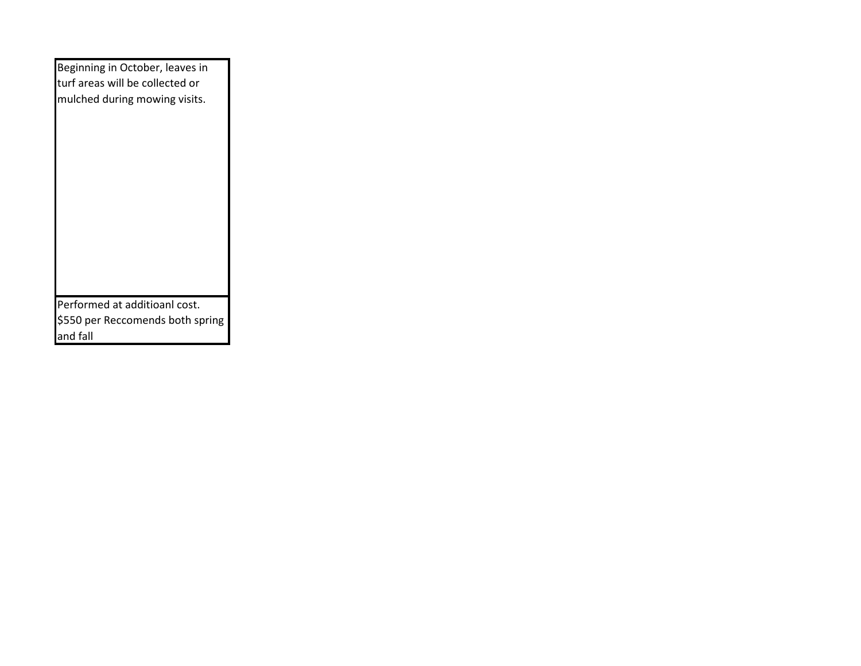| Beginning in October, leaves in<br>turf areas will be collected or<br>mulched during mowing visits. |
|-----------------------------------------------------------------------------------------------------|
| Performed at additioanl cost.<br>\$550 per Reccomends both spring                                   |
| and fall                                                                                            |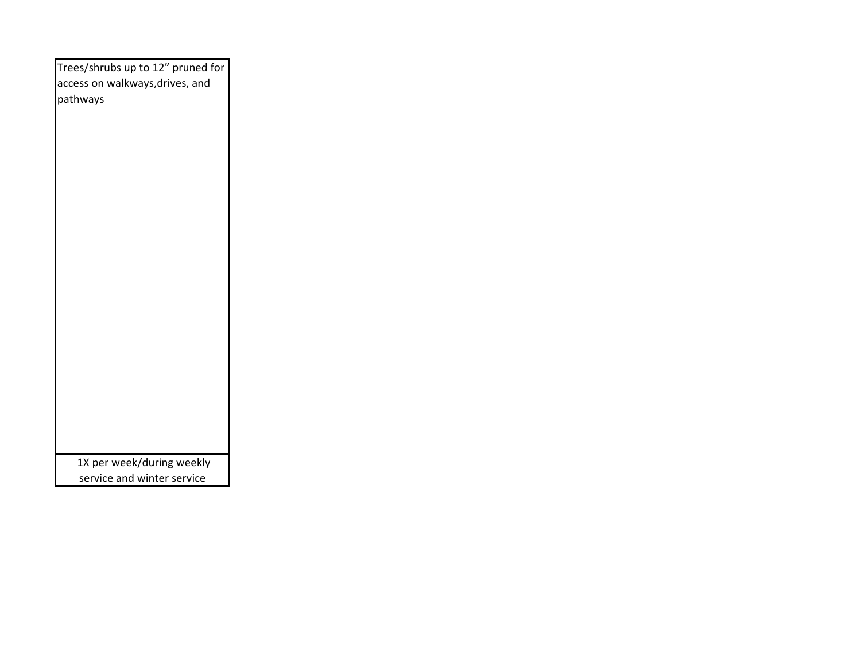| Trees/shrubs up to 12" pruned for           |
|---------------------------------------------|
| access on walkways, drives, and<br>pathways |
|                                             |
|                                             |
|                                             |
|                                             |
|                                             |
|                                             |
|                                             |
|                                             |
|                                             |
|                                             |
|                                             |
|                                             |
|                                             |
|                                             |
|                                             |
|                                             |
|                                             |
|                                             |
| 1X per week/during weekly                   |
| service and winter service                  |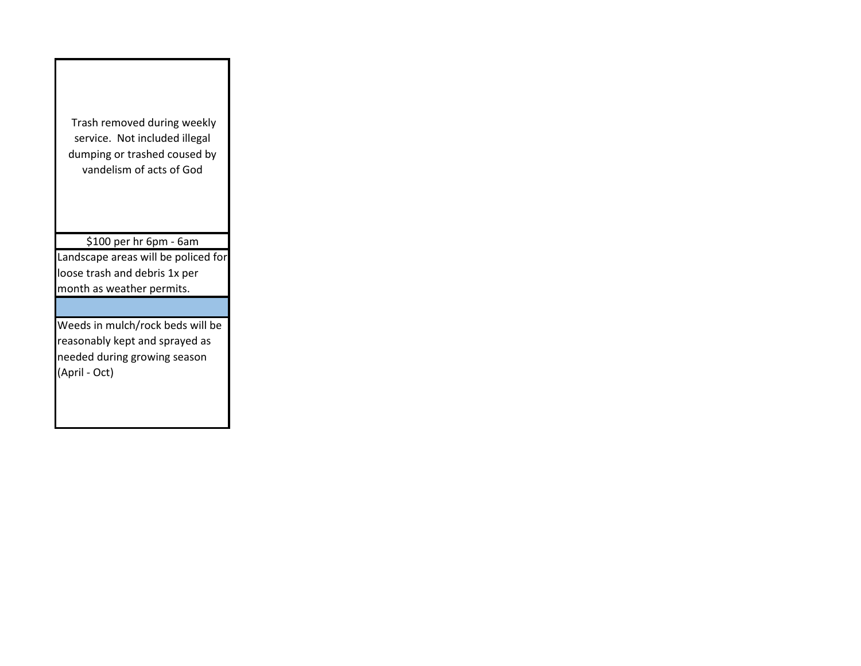Trash removed during weekly service. Not included illegal dumping or trashed coused by vandelism of acts of God \$100 per hr 6pm - 6am Landscape areas will be policed for loose trash and debris 1x per month as weather permits. Weeds in mulch/rock beds will be reasonably kept and sprayed as needed during growing season (April - Oct)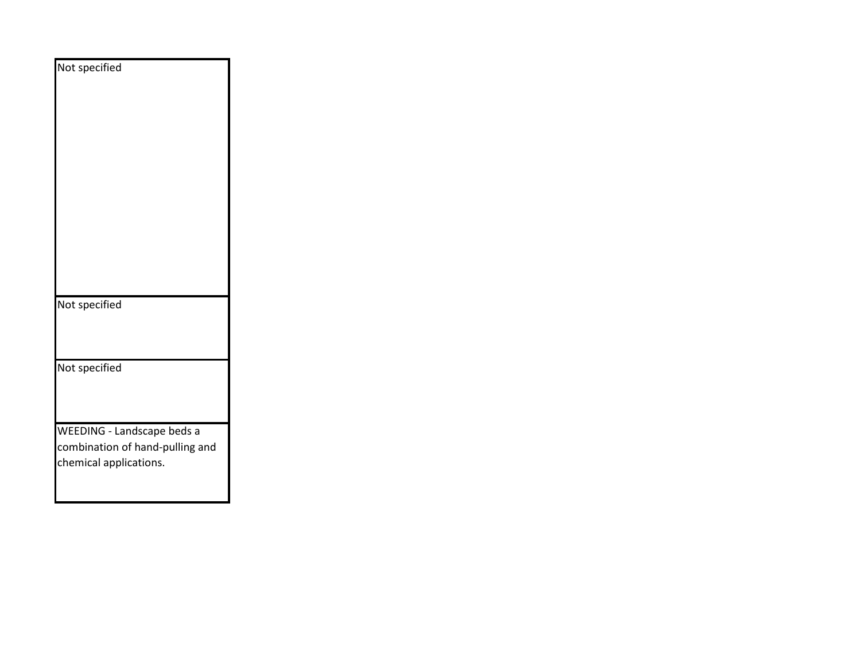| Not specified                                                                           |
|-----------------------------------------------------------------------------------------|
|                                                                                         |
|                                                                                         |
|                                                                                         |
| Not specified                                                                           |
| Not specified                                                                           |
|                                                                                         |
| WEEDING - Landscape beds a<br>combination of hand-pulling and<br>chemical applications. |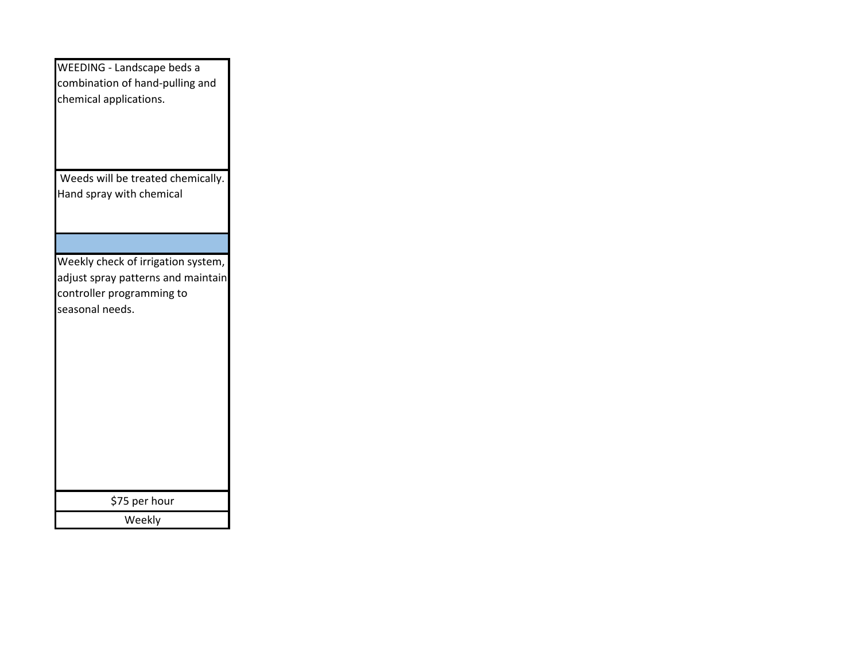| WEEDING - Landscape beds a<br>combination of hand-pulling and<br>chemical applications.                                  |
|--------------------------------------------------------------------------------------------------------------------------|
| Weeds will be treated chemically.<br>Hand spray with chemical                                                            |
|                                                                                                                          |
| Weekly check of irrigation system,<br>adjust spray patterns and maintain<br>controller programming to<br>seasonal needs. |
| \$75 per hour                                                                                                            |
| Weekly                                                                                                                   |